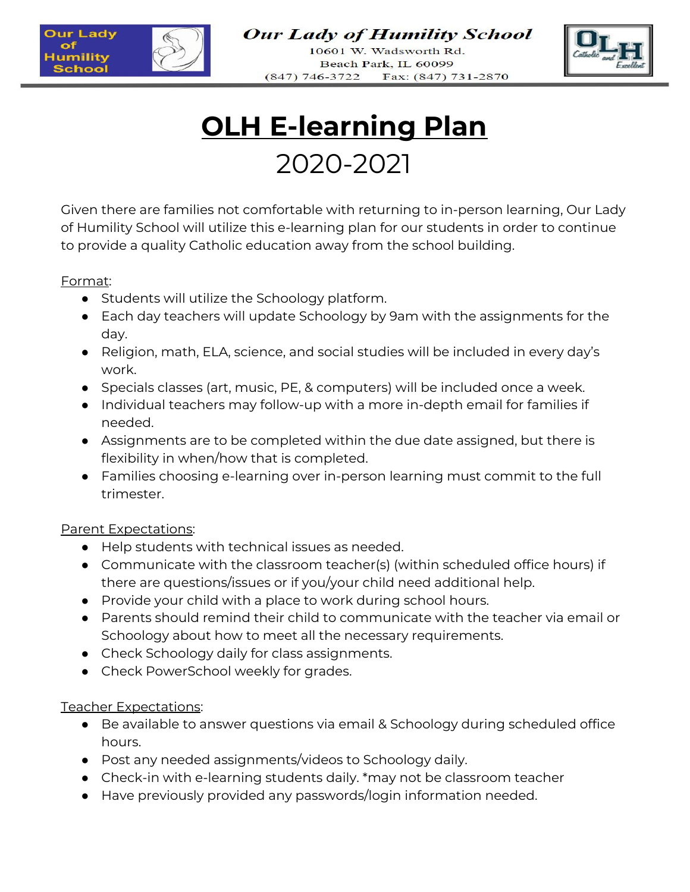

**Our Lady of Humility School** 

10601 W. Wadsworth Rd. Beach Park, IL 60099  $(847)$  746-3722 Fax: (847) 731-2870



# **OLH E-learning Plan** 2020-2021

Given there are families not comfortable with returning to in-person learning, Our Lady of Humility School will utilize this e-learning plan for our students in order to continue to provide a quality Catholic education away from the school building.

### Format:

- Students will utilize the Schoology platform.
- Each day teachers will update Schoology by 9am with the assignments for the day.
- Religion, math, ELA, science, and social studies will be included in every day's work.
- Specials classes (art, music, PE, & computers) will be included once a week.
- Individual teachers may follow-up with a more in-depth email for families if needed.
- Assignments are to be completed within the due date assigned, but there is flexibility in when/how that is completed.
- Families choosing e-learning over in-person learning must commit to the full trimester.

## Parent Expectations:

- Help students with technical issues as needed.
- Communicate with the classroom teacher(s) (within scheduled office hours) if there are questions/issues or if you/your child need additional help.
- Provide your child with a place to work during school hours.
- Parents should remind their child to communicate with the teacher via email or Schoology about how to meet all the necessary requirements.
- Check Schoology daily for class assignments.
- Check PowerSchool weekly for grades.

## Teacher Expectations:

- Be available to answer questions via email & Schoology during scheduled office hours.
- Post any needed assignments/videos to Schoology daily.
- Check-in with e-learning students daily. \*may not be classroom teacher
- Have previously provided any passwords/login information needed.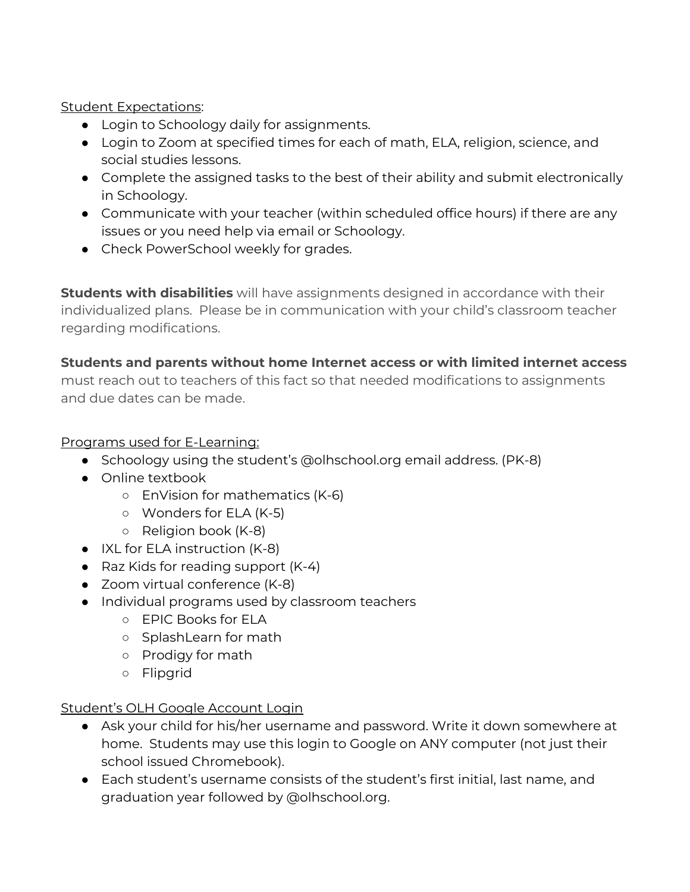Student Expectations:

- Login to Schoology daily for assignments.
- Login to Zoom at specified times for each of math, ELA, religion, science, and social studies lessons.
- Complete the assigned tasks to the best of their ability and submit electronically in Schoology.
- Communicate with your teacher (within scheduled office hours) if there are any issues or you need help via email or Schoology.
- Check PowerSchool weekly for grades.

**Students with disabilities** will have assignments designed in accordance with their individualized plans. Please be in communication with your child's classroom teacher regarding modifications.

## **Students and parents without home Internet access or with limited internet access**

must reach out to teachers of this fact so that needed modifications to assignments and due dates can be made.

## Programs used for E-Learning:

- Schoology using the student's @olhschool.org email address. (PK-8)
- Online textbook
	- EnVision for mathematics (K-6)
	- Wonders for ELA (K-5)
	- Religion book (K-8)
- IXL for ELA instruction (K-8)
- Raz Kids for reading support (K-4)
- Zoom virtual conference (K-8)
- Individual programs used by classroom teachers
	- EPIC Books for ELA
	- SplashLearn for math
	- Prodigy for math
	- Flipgrid

### Student's OLH Google Account Login

- Ask your child for his/her username and password. Write it down somewhere at home. Students may use this login to Google on ANY computer (not just their school issued Chromebook).
- Each student's username consists of the student's first initial, last name, and graduation year followed by @olhschool.org.